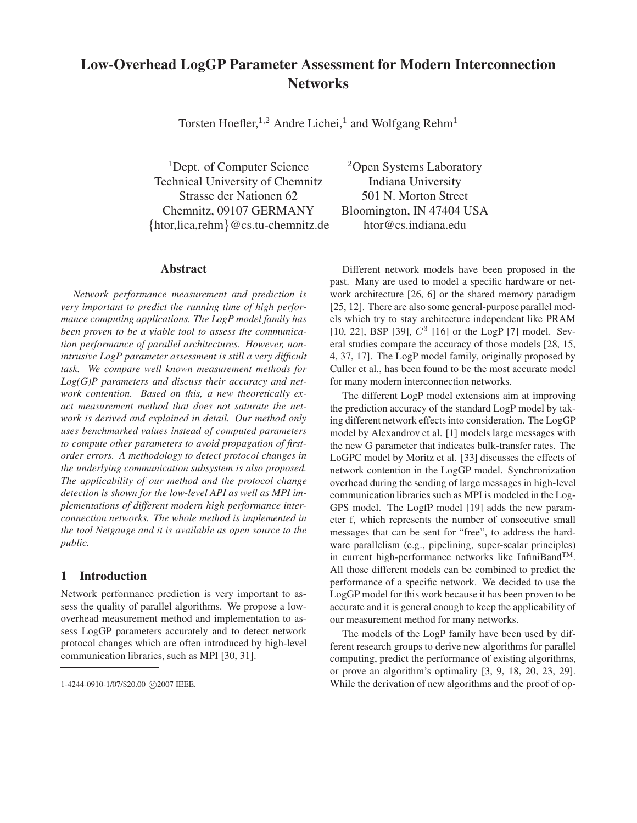# **Low-Overhead LogGP Parameter Assessment for Modern Interconnection Networks**

Torsten Hoefler,<sup>1,2</sup> Andre Lichei,<sup>1</sup> and Wolfgang Rehm<sup>1</sup>

<sup>1</sup>Dept. of Computer Science  $2$ Open Systems Laboratory Technical University of Chemnitz Indiana University Strasse der Nationen 62 501 N. Morton Street Chemnitz, 09107 GERMANY Bloomington, IN 47404 USA {htor,lica,rehm}@cs.tu-chemnitz.de htor@cs.indiana.edu

## **Abstract**

*Network performance measurement and prediction is very important to predict the running time of high performance computing applications. The LogP model family has been proven to be a viable tool to assess the communication performance of parallel architectures. However, nonintrusive LogP parameter assessment is still a very difficult task. We compare well known measurement methods for Log(G)P parameters and discuss their accuracy and network contention. Based on this, a new theoretically exact measurement method that does not saturate the network is derived and explained in detail. Our method only uses benchmarked values instead of computed parameters to compute other parameters to avoid propagation of firstorder errors. A methodology to detect protocol changes in the underlying communication subsystem is also proposed. The applicability of our method and the protocol change detection is shown for the low-level API as well as MPI implementations of different modern high performance interconnection networks. The whole method is implemented in the tool Netgauge and it is available as open source to the public.*

# **1 Introduction**

Network performance prediction is very important to assess the quality of parallel algorithms. We propose a lowoverhead measurement method and implementation to assess LogGP parameters accurately and to detect network protocol changes which are often introduced by high-level communication libraries, such as MPI [30, 31].

Different network models have been proposed in the past. Many are used to model a specific hardware or network architecture [26, 6] or the shared memory paradigm [25, 12]. There are also some general-purpose parallel models which try to stay architecture independent like PRAM [10, 22], BSP [39], *C*<sup>3</sup> [16] or the LogP [7] model. Several studies compare the accuracy of those models [28, 15, 4, 37, 17]. The LogP model family, originally proposed by Culler et al., has been found to be the most accurate model for many modern interconnection networks.

The different LogP model extensions aim at improving the prediction accuracy of the standard LogP model by taking different network effects into consideration. The LogGP model by Alexandrov et al. [1] models large messages with the new G parameter that indicates bulk-transfer rates. The LoGPC model by Moritz et al. [33] discusses the effects of network contention in the LogGP model. Synchronization overhead during the sending of large messages in high-level communication libraries such as MPI is modeled in the Log-GPS model. The LogfP model [19] adds the new parameter f, which represents the number of consecutive small messages that can be sent for "free", to address the hardware parallelism (e.g., pipelining, super-scalar principles) in current high-performance networks like InfiniBand<sup>TM</sup>. All those different models can be combined to predict the performance of a specific network. We decided to use the LogGP model for this work because it has been proven to be accurate and it is general enough to keep the applicability of our measurement method for many networks.

The models of the LogP family have been used by different research groups to derive new algorithms for parallel computing, predict the performance of existing algorithms, or prove an algorithm's optimality [3, 9, 18, 20, 23, 29]. While the derivation of new algorithms and the proof of op-

<sup>1-4244-0910-1/07/\$20.00</sup> C 2007 IEEE.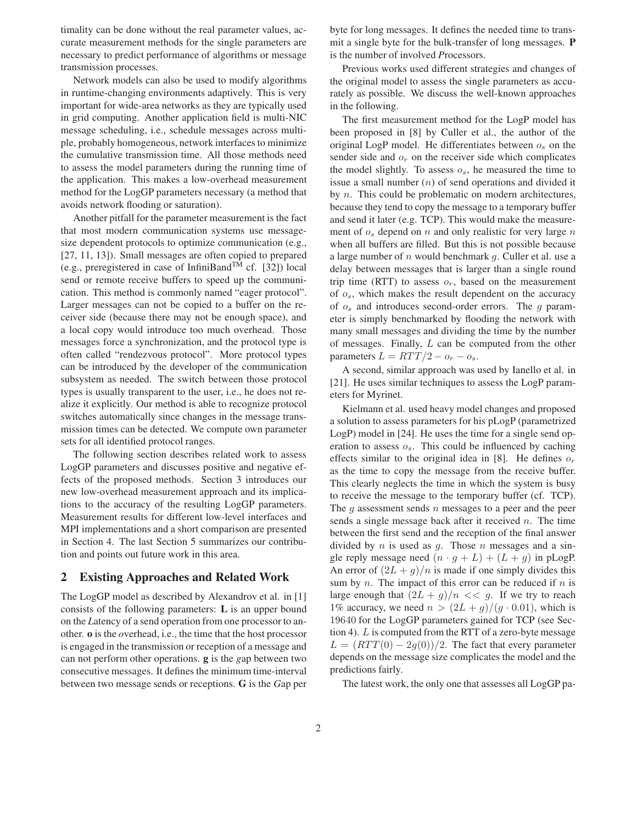timality can be done without the real parameter values, accurate measurement methods for the single parameters are necessary to predict performance of algorithms or message transmission processes.

Network models can also be used to modify algorithms in runtime-changing environments adaptively. This is very important for wide-area networks as they are typically used in grid computing. Another application field is multi-NIC message scheduling, i.e., schedule messages across multiple, probably homogeneous, network interfaces to minimize the cumulative transmission time. All those methods need to assess the model parameters during the running time of the application. This makes a low-overhead measurement method for the LogGP parameters necessary (a method that avoids network flooding or saturation).

Another pitfall for the parameter measurement is the fact that most modern communication systems use messagesize dependent protocols to optimize communication (e.g., [27, 11, 13]). Small messages are often copied to prepared (e.g., preregistered in case of InfiniBand<sup>TM</sup> cf. [32]) local send or remote receive buffers to speed up the communication. This method is commonly named "eager protocol". Larger messages can not be copied to a buffer on the receiver side (because there may not be enough space), and a local copy would introduce too much overhead. Those messages force a synchronization, and the protocol type is often called "rendezvous protocol". More protocol types can be introduced by the developer of the communication subsystem as needed. The switch between those protocol types is usually transparent to the user, i.e., he does not realize it explicitly. Our method is able to recognize protocol switches automatically since changes in the message transmission times can be detected. We compute own parameter sets for all identified protocol ranges.

The following section describes related work to assess LogGP parameters and discusses positive and negative effects of the proposed methods. Section 3 introduces our new low-overhead measurement approach and its implications to the accuracy of the resulting LogGP parameters. Measurement results for different low-level interfaces and MPI implementations and a short comparison are presented in Section 4. The last Section 5 summarizes our contribution and points out future work in this area.

# **2 Existing Approaches and Related Work**

The LogGP model as described by Alexandrov et al. in [1] consists of the following parameters: **L** is an upper bound on the *L*atency of a send operation from one processor to another. **o** is the *o*verhead, i.e., the time that the host processor is engaged in the transmission or reception of a message and can not perform other operations. **g** is the *g*ap between two consecutive messages. It defines the minimum time-interval between two message sends or receptions. **G** is the *G*ap per

byte for long messages. It defines the needed time to transmit a single byte for the bulk-transfer of long messages. **P** is the number of involved *P*rocessors.

Previous works used different strategies and changes of the original model to assess the single parameters as accurately as possible. We discuss the well-known approaches in the following.

The first measurement method for the LogP model has been proposed in [8] by Culler et al., the author of the original LogP model. He differentiates between *o<sup>s</sup>* on the sender side and  $o_r$  on the receiver side which complicates the model slightly. To assess *os*, he measured the time to issue a small number (*n*) of send operations and divided it by *n*. This could be problematic on modern architectures, because they tend to copy the message to a temporary buffer and send it later (e.g. TCP). This would make the measurement of *o<sup>s</sup>* depend on *n* and only realistic for very large *n* when all buffers are filled. But this is not possible because a large number of *n* would benchmark *g*. Culler et al. use a delay between messages that is larger than a single round trip time (RTT) to assess  $o_r$ , based on the measurement of *os*, which makes the result dependent on the accuracy of *o<sup>s</sup>* and introduces second-order errors. The *g* parameter is simply benchmarked by flooding the network with many small messages and dividing the time by the number of messages. Finally, *L* can be computed from the other parameters  $L = RTT/2 - o_r - o_s$ .

A second, similar approach was used by Ianello et al. in [21]. He uses similar techniques to assess the LogP parameters for Myrinet.

Kielmann et al. used heavy model changes and proposed a solution to assess parameters for his pLogP (parametrized LogP) model in [24]. He uses the time for a single send operation to assess  $o_s$ . This could be influenced by caching effects similar to the original idea in [8]. He defines *o<sup>r</sup>* as the time to copy the message from the receive buffer. This clearly neglects the time in which the system is busy to receive the message to the temporary buffer (cf. TCP). The *g* assessment sends *n* messages to a peer and the peer sends a single message back after it received *n*. The time between the first send and the reception of the final answer divided by *n* is used as *g*. Those *n* messages and a single reply message need  $(n \cdot g + L) + (L + g)$  in pLogP. An error of  $(2L + g)/n$  is made if one simply divides this sum by *n*. The impact of this error can be reduced if *n* is large enough that  $(2L + g)/n \, << \, g$ . If we try to reach 1% accuracy, we need  $n > (2L + g)/(g \cdot 0.01)$ , which is 19640 for the LogGP parameters gained for TCP (see Section 4). *L* is computed from the RTT of a zero-byte message  $L = (RTT(0) - 2g(0))/2$ . The fact that every parameter depends on the message size complicates the model and the predictions fairly.

The latest work, the only one that assesses all LogGP pa-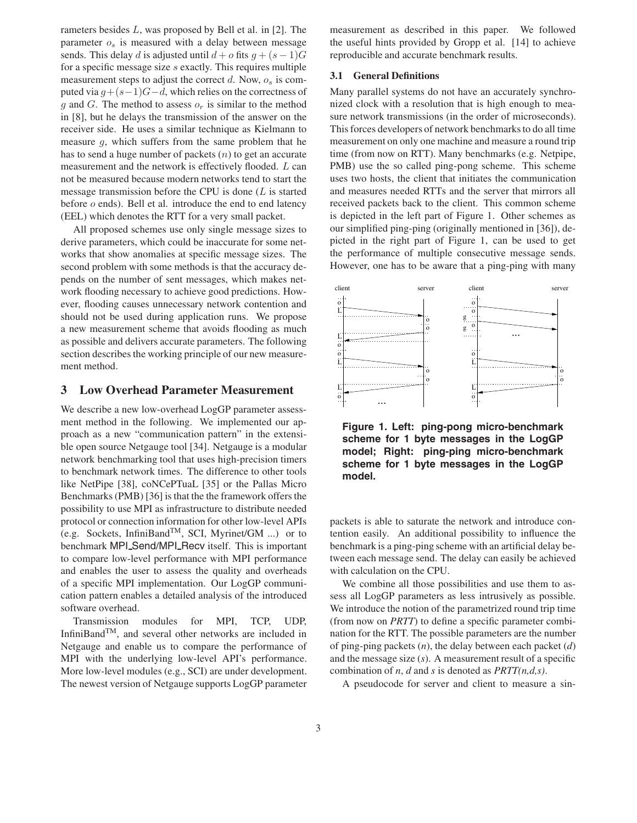rameters besides *L*, was proposed by Bell et al. in [2]. The parameter *o<sup>s</sup>* is measured with a delay between message sends. This delay *d* is adjusted until  $d + o$  fits  $g + (s - 1)G$ for a specific message size *s* exactly. This requires multiple measurement steps to adjust the correct *d*. Now, *o<sup>s</sup>* is computed via *g*+(*s*−1)*G*−*d*, which relies on the correctness of *g* and *G*. The method to assess *o<sup>r</sup>* is similar to the method in [8], but he delays the transmission of the answer on the receiver side. He uses a similar technique as Kielmann to measure *g*, which suffers from the same problem that he has to send a huge number of packets (*n*) to get an accurate measurement and the network is effectively flooded. *L* can not be measured because modern networks tend to start the message transmission before the CPU is done (*L* is started before *o* ends). Bell et al. introduce the end to end latency (EEL) which denotes the RTT for a very small packet.

All proposed schemes use only single message sizes to derive parameters, which could be inaccurate for some networks that show anomalies at specific message sizes. The second problem with some methods is that the accuracy depends on the number of sent messages, which makes network flooding necessary to achieve good predictions. However, flooding causes unnecessary network contention and should not be used during application runs. We propose a new measurement scheme that avoids flooding as much as possible and delivers accurate parameters. The following section describes the working principle of our new measurement method.

## **3 Low Overhead Parameter Measurement**

We describe a new low-overhead LogGP parameter assessment method in the following. We implemented our approach as a new "communication pattern" in the extensible open source Netgauge tool [34]. Netgauge is a modular network benchmarking tool that uses high-precision timers to benchmark network times. The difference to other tools like NetPipe [38], coNCePTuaL [35] or the Pallas Micro Benchmarks (PMB) [36] is that the the framework offers the possibility to use MPI as infrastructure to distribute needed protocol or connection information for other low-level APIs (e.g. Sockets, InfiniBandTM, SCI, Myrinet/GM ...) or to benchmark MPI\_Send/MPI\_Recv itself. This is important to compare low-level performance with MPI performance and enables the user to assess the quality and overheads of a specific MPI implementation. Our LogGP communication pattern enables a detailed analysis of the introduced software overhead.

Transmission modules for MPI, TCP, UDP, InfiniBandTM, and several other networks are included in Netgauge and enable us to compare the performance of MPI with the underlying low-level API's performance. More low-level modules (e.g., SCI) are under development. The newest version of Netgauge supports LogGP parameter

measurement as described in this paper. We followed the useful hints provided by Gropp et al. [14] to achieve reproducible and accurate benchmark results.

#### **3.1 General Definitions**

Many parallel systems do not have an accurately synchronized clock with a resolution that is high enough to measure network transmissions (in the order of microseconds). This forces developers of network benchmarks to do all time measurement on only one machine and measure a round trip time (from now on RTT). Many benchmarks (e.g. Netpipe, PMB) use the so called ping-pong scheme. This scheme uses two hosts, the client that initiates the communication and measures needed RTTs and the server that mirrors all received packets back to the client. This common scheme is depicted in the left part of Figure 1. Other schemes as our simplified ping-ping (originally mentioned in [36]), depicted in the right part of Figure 1, can be used to get the performance of multiple consecutive message sends. However, one has to be aware that a ping-ping with many



**Figure 1. Left: ping-pong micro-benchmark scheme for 1 byte messages in the LogGP model; Right: ping-ping micro-benchmark scheme for 1 byte messages in the LogGP model.**

packets is able to saturate the network and introduce contention easily. An additional possibility to influence the benchmark is a ping-ping scheme with an artificial delay between each message send. The delay can easily be achieved with calculation on the CPU.

We combine all those possibilities and use them to assess all LogGP parameters as less intrusively as possible. We introduce the notion of the parametrized round trip time (from now on *PRTT*) to define a specific parameter combination for the RTT. The possible parameters are the number of ping-ping packets (*n*), the delay between each packet (*d*) and the message size (*s*). A measurement result of a specific combination of *n*, *d* and *s* is denoted as *PRTT(n,d,s)*.

A pseudocode for server and client to measure a sin-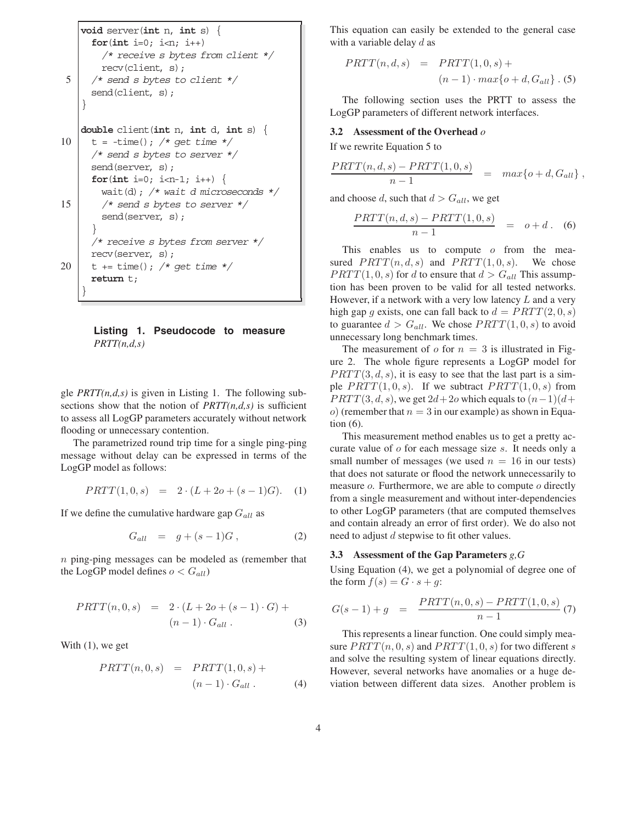**void** server(**int** n, **int** s) { **for**(**int** i=0; i<n; i++) /\* receive <sup>s</sup> bytes from client \*/ recv(client, s); 5 /\* send <sup>s</sup> bytes to client \*/ send(client, s); } **double** client(**int** n, **int** d, **int** s) { 10 t = -time(); /\* get time \*/ /\* send <sup>s</sup> bytes to server \*/ send(server, s); **for**(**int** i=0; i<n-1; i++) { wait(d); /\* wait <sup>d</sup> microseconds \*/ 15 /\* send <sup>s</sup> bytes to server \*/ send(server, s); } /\* receive <sup>s</sup> bytes from server \*/ recv(server, s); 20 t += time(); /\* get time \*/ **return** t; }

**Listing 1. Pseudocode to measure** *PRTT(n,d,s)*

gle *PRTT(n,d,s)* is given in Listing 1. The following subsections show that the notion of  $PRTT(n,d,s)$  is sufficient to assess all LogGP parameters accurately without network flooding or unnecessary contention.

The parametrized round trip time for a single ping-ping message without delay can be expressed in terms of the LogGP model as follows:

$$
PRTT(1,0,s) = 2 \cdot (L + 2o + (s-1)G). \quad (1)
$$

If we define the cumulative hardware gap *Gall* as

$$
G_{all} = g + (s-1)G , \qquad (2)
$$

*n* ping-ping messages can be modeled as (remember that the LogGP model defines  $o < G_{all}$ )

$$
PRTT(n,0,s) = 2 \cdot (L + 2o + (s - 1) \cdot G) + (n - 1) \cdot G_{all}.
$$
 (3)

With  $(1)$ , we get

$$
PRTT(n,0,s) = PRTT(1,0,s) +
$$

$$
(n-1) \cdot G_{all} .
$$
 (4)

This equation can easily be extended to the general case with a variable delay *d* as

$$
PRTT(n, d, s) = PRTT(1, 0, s) +
$$

$$
(n - 1) \cdot max\{o + d, G_{all}\}.
$$
 (5)

The following section uses the PRTT to assess the LogGP parameters of different network interfaces.

#### **3.2 Assessment of the Overhead** *o*

If we rewrite Equation 5 to

$$
\frac{PRTT(n,d,s) - PRTT(1,0,s)}{n-1} = max\{o + d, G_{all}\},
$$

and choose *d*, such that  $d > G_{all}$ , we get

$$
\frac{PRTT(n, d, s) - PRTT(1, 0, s)}{n - 1} = o + d. \quad (6)
$$

This enables us to compute *o* from the measured  $PRTT(n, d, s)$  and  $PRTT(1, 0, s)$ . We chose *PRTT* $(1, 0, s)$  for *d* to ensure that  $d > G_{all}$  This assumption has been proven to be valid for all tested networks. However, if a network with a very low latency *L* and a very high gap *g* exists, one can fall back to  $d = PRTT(2, 0, s)$ to guarantee  $d > G_{all}$ . We chose  $PRTT(1, 0, s)$  to avoid unnecessary long benchmark times.

The measurement of  $\sigma$  for  $n = 3$  is illustrated in Figure 2. The whole figure represents a LogGP model for  $PRTT(3, d, s)$ , it is easy to see that the last part is a simple  $PRTT(1,0,s)$ . If we subtract  $PRTT(1,0,s)$  from *PRTT*(3*, d, s*), we get  $2d+2o$  which equals to  $(n-1)(d+1)$  $o)$  (remember that  $n = 3$  in our example) as shown in Equation (6).

This measurement method enables us to get a pretty accurate value of *o* for each message size *s*. It needs only a small number of messages (we used  $n = 16$  in our tests) that does not saturate or flood the network unnecessarily to measure *o*. Furthermore, we are able to compute *o* directly from a single measurement and without inter-dependencies to other LogGP parameters (that are computed themselves and contain already an error of first order). We do also not need to adjust *d* stepwise to fit other values.

## **3.3 Assessment of the Gap Parameters** *g,G*

Using Equation (4), we get a polynomial of degree one of the form  $f(s) = G \cdot s + g$ :

$$
G(s-1) + g = \frac{PRTT(n,0,s) - PRTT(1,0,s)}{n-1}
$$
 (7)

This represents a linear function. One could simply measure  $PRTT(n, 0, s)$  and  $PRTT(1, 0, s)$  for two different *s* and solve the resulting system of linear equations directly. However, several networks have anomalies or a huge deviation between different data sizes. Another problem is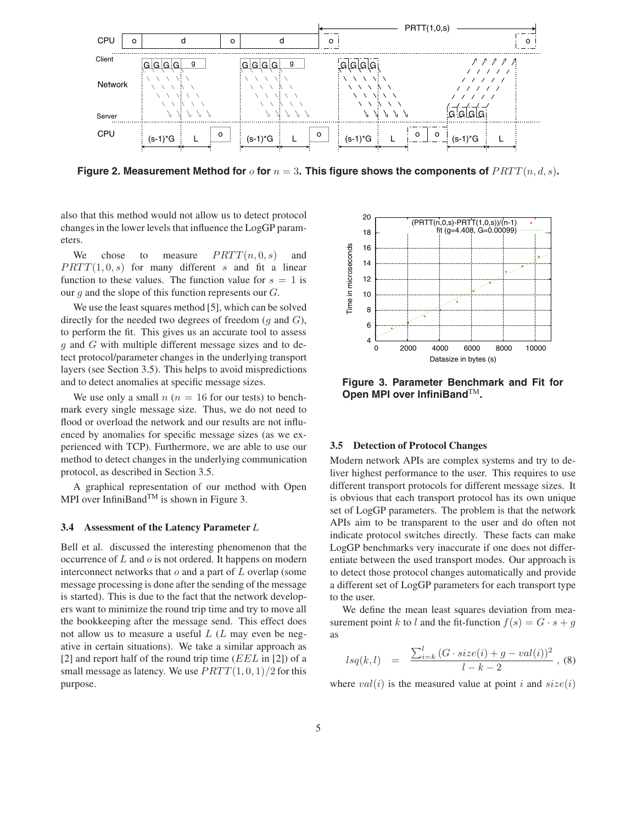

**Figure 2. Measurement Method for**  $o$  for  $n = 3$ . This figure shows the components of  $PRTT(n, d, s)$ .

also that this method would not allow us to detect protocol changes in the lower levels that influence the LogGP parameters.

We chose to measure  $PRTT(n, 0, s)$  and  $PRTT(1,0,s)$  for many different *s* and fit a linear function to these values. The function value for  $s = 1$  is our *g* and the slope of this function represents our *G*.

We use the least squares method [5], which can be solved directly for the needed two degrees of freedom (*g* and *G*), to perform the fit. This gives us an accurate tool to assess *g* and *G* with multiple different message sizes and to detect protocol/parameter changes in the underlying transport layers (see Section 3.5). This helps to avoid mispredictions and to detect anomalies at specific message sizes.

We use only a small  $n(n = 16$  for our tests) to benchmark every single message size. Thus, we do not need to flood or overload the network and our results are not influenced by anomalies for specific message sizes (as we experienced with TCP). Furthermore, we are able to use our method to detect changes in the underlying communication protocol, as described in Section 3.5.

A graphical representation of our method with Open MPI over InfiniBand<sup>TM</sup> is shown in Figure 3.

#### **3.4 Assessment of the Latency Parameter** *L*

Bell et al. discussed the interesting phenomenon that the occurrence of *L* and *o* is not ordered. It happens on modern interconnect networks that *o* and a part of *L* overlap (some message processing is done after the sending of the message is started). This is due to the fact that the network developers want to minimize the round trip time and try to move all the bookkeeping after the message send. This effect does not allow us to measure a useful *L* (*L* may even be negative in certain situations). We take a similar approach as [2] and report half of the round trip time (*EEL* in [2]) of a small message as latency. We use  $PRTT(1,0,1)/2$  for this purpose.



**Figure 3. Parameter Benchmark and Fit for Open MPI over InfiniBand**TM**.**

#### **3.5 Detection of Protocol Changes**

Modern network APIs are complex systems and try to deliver highest performance to the user. This requires to use different transport protocols for different message sizes. It is obvious that each transport protocol has its own unique set of LogGP parameters. The problem is that the network APIs aim to be transparent to the user and do often not indicate protocol switches directly. These facts can make LogGP benchmarks very inaccurate if one does not differentiate between the used transport modes. Our approach is to detect those protocol changes automatically and provide a different set of LogGP parameters for each transport type to the user.

We define the mean least squares deviation from measurement point *k* to *l* and the fit-function  $f(s) = G \cdot s + g$ as

$$
lsq(k, l) = \frac{\sum_{i=k}^{l} (G \cdot size(i) + g - val(i))^{2}}{l - k - 2}, (8)
$$

where  $val(i)$  is the measured value at point *i* and  $size(i)$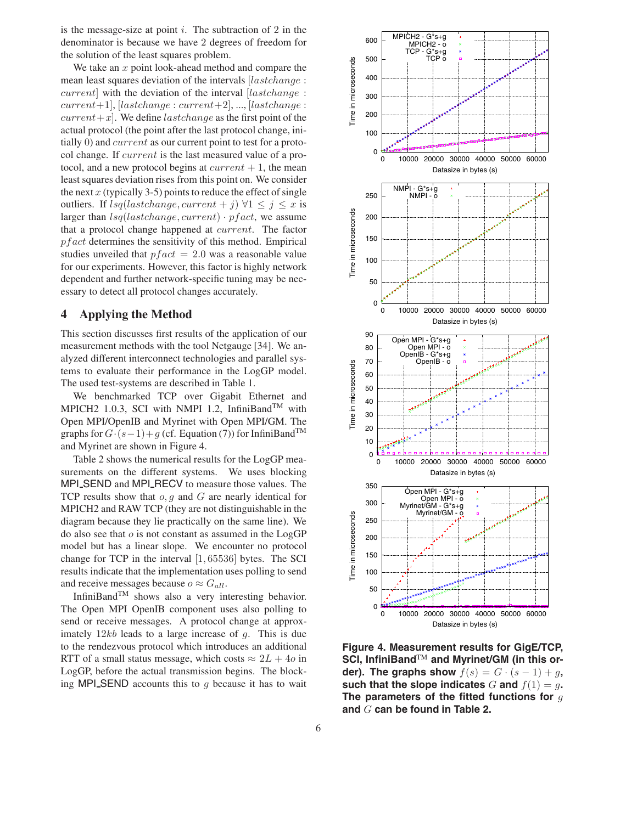is the message-size at point *i*. The subtraction of 2 in the denominator is because we have 2 degrees of freedom for the solution of the least squares problem.

We take an *x* point look-ahead method and compare the mean least squares deviation of the intervals [*lastchange* : *current*] with the deviation of the interval [*lastchange* : *current*+1], [*lastchange* : *current*+2], ..., [*lastchange* :  $current + x$ . We define *lastchange* as the first point of the actual protocol (the point after the last protocol change, initially 0) and *current* as our current point to test for a protocol change. If *current* is the last measured value of a protocol, and a new protocol begins at  $current + 1$ , the mean least squares deviation rises from this point on. We consider the next *x* (typically 3-5) points to reduce the effect of single outliers. If  $lsq(lastchange, current + j) \forall 1 \leq j \leq x$  is larger than *lsq*(*lastchange, current*) · *pf act*, we assume that a protocol change happened at *current*. The factor *pf act* determines the sensitivity of this method. Empirical studies unveiled that  $pfact = 2.0$  was a reasonable value for our experiments. However, this factor is highly network dependent and further network-specific tuning may be necessary to detect all protocol changes accurately.

## **4 Applying the Method**

This section discusses first results of the application of our measurement methods with the tool Netgauge [34]. We analyzed different interconnect technologies and parallel systems to evaluate their performance in the LogGP model. The used test-systems are described in Table 1.

We benchmarked TCP over Gigabit Ethernet and MPICH2 1.0.3, SCI with NMPI 1.2, InfiniBand<sup>TM</sup> with Open MPI/OpenIB and Myrinet with Open MPI/GM. The graphs for  $G \cdot (s-1) + g$  (cf. Equation (7)) for InfiniBand<sup>TM</sup> and Myrinet are shown in Figure 4.

Table 2 shows the numerical results for the LogGP measurements on the different systems. We uses blocking MPI\_SEND and MPI\_RECV to measure those values. The TCP results show that *o, g* and *G* are nearly identical for MPICH2 and RAW TCP (they are not distinguishable in the diagram because they lie practically on the same line). We do also see that *o* is not constant as assumed in the LogGP model but has a linear slope. We encounter no protocol change for TCP in the interval [1*,* 65536] bytes. The SCI results indicate that the implementation uses polling to send and receive messages because  $o \approx G_{all}$ .

InfiniBandTM shows also a very interesting behavior. The Open MPI OpenIB component uses also polling to send or receive messages. A protocol change at approximately 12*kb* leads to a large increase of *g*. This is due to the rendezvous protocol which introduces an additional RTT of a small status message, which costs  $\approx 2L + 4o$  in LogGP, before the actual transmission begins. The blocking MPI SEND accounts this to  $g$  because it has to wait



**Figure 4. Measurement results for GigE/TCP,** SCI, InfiniBand<sup>TM</sup> and Myrinet/GM (in this or**der). The graphs show**  $f(s) = G \cdot (s-1) + g$ , **such that the slope indicates**  $G$  **and**  $f(1) = g$ **. The parameters of the fitted functions for** *g* **and** *G* **can be found in Table 2.**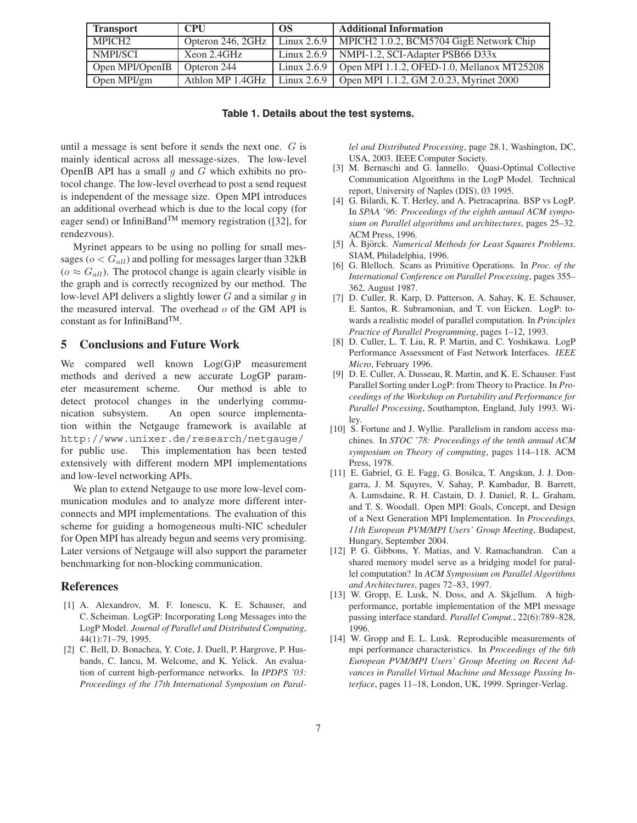| <b>Transport</b>   | <b>CPU</b>       | <b>OS</b> | <b>Additional Information</b>                                             |
|--------------------|------------------|-----------|---------------------------------------------------------------------------|
| MPICH <sub>2</sub> |                  |           | Opteron 246, 2GHz   Linux 2.6.9   MPICH2 1.0.2, BCM5704 GigE Network Chip |
| NMPI/SCI           | Xeon 2.4GHz      |           | Linux 2.6.9   NMPI-1.2, SCI-Adapter PSB66 D33x                            |
| Open MPI/OpenIB    | Opteron 244      |           | Linux 2.6.9   Open MPI 1.1.2, OFED-1.0, Mellanox MT25208                  |
| Open MPI/gm        | Athlon MP 1.4GHz |           | Linux 2.6.9 $\vert$ Open MPI 1.1.2, GM 2.0.23, Myrinet 2000               |

### **Table 1. Details about the test systems.**

until a message is sent before it sends the next one. *G* is mainly identical across all message-sizes. The low-level OpenIB API has a small *g* and *G* which exhibits no protocol change. The low-level overhead to post a send request is independent of the message size. Open MPI introduces an additional overhead which is due to the local copy (for eager send) or InfiniBand<sup>TM</sup> memory registration ([32], for rendezvous).

Myrinet appears to be using no polling for small messages ( $o < G_{all}$ ) and polling for messages larger than 32kB  $(o \approx G_{all})$ . The protocol change is again clearly visible in the graph and is correctly recognized by our method. The low-level API delivers a slightly lower *G* and a similar *g* in the measured interval. The overhead *o* of the GM API is constant as for InfiniBandTM.

# **5 Conclusions and Future Work**

We compared well known  $Log(G)P$  measurement methods and derived a new accurate LogGP parameter measurement scheme. Our method is able to detect protocol changes in the underlying communication subsystem. An open source implementation within the Netgauge framework is available at http://www.unixer.de/research/netgauge/ for public use. This implementation has been tested extensively with different modern MPI implementations and low-level networking APIs.

We plan to extend Netgauge to use more low-level communication modules and to analyze more different interconnects and MPI implementations. The evaluation of this scheme for guiding a homogeneous multi-NIC scheduler for Open MPI has already begun and seems very promising. Later versions of Netgauge will also support the parameter benchmarking for non-blocking communication.

#### **References**

- [1] A. Alexandrov, M. F. Ionescu, K. E. Schauser, and C. Scheiman. LogGP: Incorporating Long Messages into the LogP Model. *Journal of Parallel and Distributed Computing*, 44(1):71–79, 1995.
- [2] C. Bell, D. Bonachea, Y. Cote, J. Duell, P. Hargrove, P. Husbands, C. Iancu, M. Welcome, and K. Yelick. An evaluation of current high-performance networks. In *IPDPS '03: Proceedings of the 17th International Symposium on Paral-*

*lel and Distributed Processing*, page 28.1, Washington, DC, USA, 2003. IEEE Computer Society.

- [3] M. Bernaschi and G. Iannello. Quasi-Optimal Collective Communication Algorithms in the LogP Model. Technical report, University of Naples (DIS), 03 1995.
- [4] G. Bilardi, K. T. Herley, and A. Pietracaprina. BSP vs LogP. In *SPAA '96: Proceedings of the eighth annual ACM symposium on Parallel algorithms and architectures*, pages 25–32. ACM Press, 1996.
- [5] Å. Björck. *Numerical Methods for Least Squares Problems*. SIAM, Philadelphia, 1996.
- [6] G. Blelloch. Scans as Primitive Operations. In *Proc. of the International Conference on Parallel Processing*, pages 355– 362, August 1987.
- [7] D. Culler, R. Karp, D. Patterson, A. Sahay, K. E. Schauser, E. Santos, R. Subramonian, and T. von Eicken. LogP: towards a realistic model of parallel computation. In *Principles Practice of Parallel Programming*, pages 1–12, 1993.
- [8] D. Culler, L. T. Liu, R. P. Martin, and C. Yoshikawa. LogP Performance Assessment of Fast Network Interfaces. *IEEE Micro*, February 1996.
- [9] D. E. Culler, A. Dusseau, R. Martin, and K. E. Schauser. Fast Parallel Sorting under LogP: from Theory to Practice. In *Proceedings of the Workshop on Portability and Performance for Parallel Processing*, Southampton, England, July 1993. Wiley.
- [10] S. Fortune and J. Wyllie. Parallelism in random access machines. In *STOC '78: Proceedings of the tenth annual ACM symposium on Theory of computing*, pages 114–118. ACM Press, 1978.
- [11] E. Gabriel, G. E. Fagg, G. Bosilca, T. Angskun, J. J. Dongarra, J. M. Squyres, V. Sahay, P. Kambadur, B. Barrett, A. Lumsdaine, R. H. Castain, D. J. Daniel, R. L. Graham, and T. S. Woodall. Open MPI: Goals, Concept, and Design of a Next Generation MPI Implementation. In *Proceedings, 11th European PVM/MPI Users' Group Meeting*, Budapest, Hungary, September 2004.
- [12] P. G. Gibbons, Y. Matias, and V. Ramachandran. Can a shared memory model serve as a bridging model for parallel computation? In *ACM Symposium on Parallel Algorithms and Architectures*, pages 72–83, 1997.
- [13] W. Gropp, E. Lusk, N. Doss, and A. Skjellum. A highperformance, portable implementation of the MPI message passing interface standard. *Parallel Comput.*, 22(6):789–828, 1996.
- [14] W. Gropp and E. L. Lusk. Reproducible measurements of mpi performance characteristics. In *Proceedings of the 6th European PVM/MPI Users' Group Meeting on Recent Advances in Parallel Virtual Machine and Message Passing Interface*, pages 11–18, London, UK, 1999. Springer-Verlag.